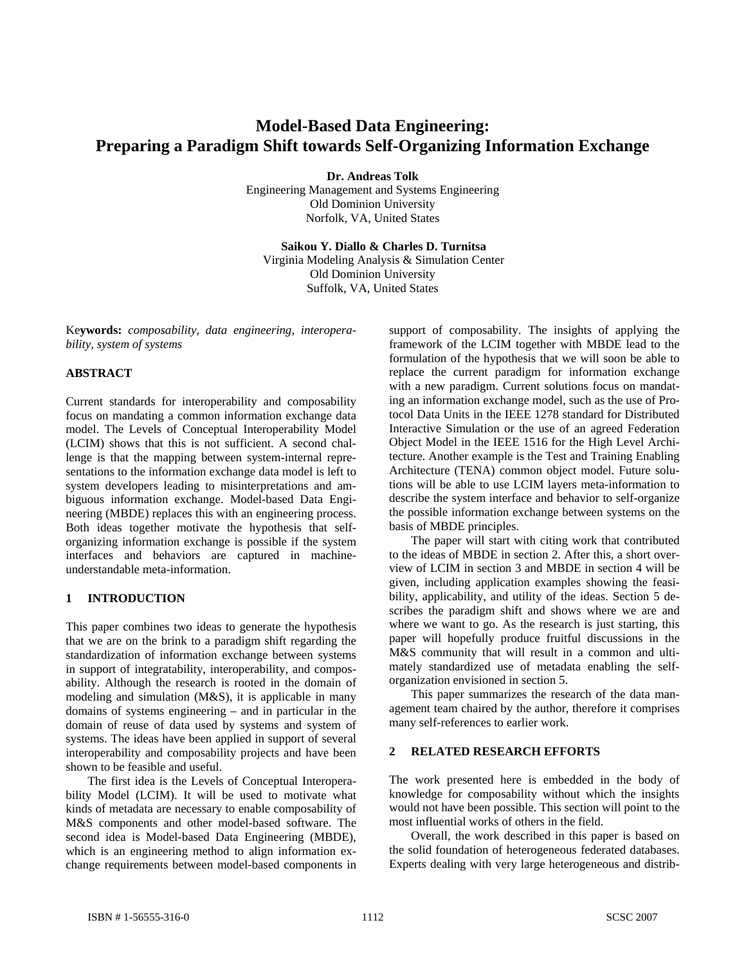# **Model-Based Data Engineering: Preparing a Paradigm Shift towards Self-Organizing Information Exchange**

**Dr. Andreas Tolk** 

Engineering Management and Systems Engineering Old Dominion University Norfolk, VA, United States

**Saikou Y. Diallo & Charles D. Turnitsa**  Virginia Modeling Analysis & Simulation Center Old Dominion University Suffolk, VA, United States

Ke**ywords:** *composability, data engineering, interoperability, system of systems*

# **ABSTRACT**

Current standards for interoperability and composability focus on mandating a common information exchange data model. The Levels of Conceptual Interoperability Model (LCIM) shows that this is not sufficient. A second challenge is that the mapping between system-internal representations to the information exchange data model is left to system developers leading to misinterpretations and ambiguous information exchange. Model-based Data Engineering (MBDE) replaces this with an engineering process. Both ideas together motivate the hypothesis that selforganizing information exchange is possible if the system interfaces and behaviors are captured in machineunderstandable meta-information.

# **1 INTRODUCTION**

This paper combines two ideas to generate the hypothesis that we are on the brink to a paradigm shift regarding the standardization of information exchange between systems in support of integratability, interoperability, and composability. Although the research is rooted in the domain of modeling and simulation (M&S), it is applicable in many domains of systems engineering – and in particular in the domain of reuse of data used by systems and system of systems. The ideas have been applied in support of several interoperability and composability projects and have been shown to be feasible and useful.

The first idea is the Levels of Conceptual Interoperability Model (LCIM). It will be used to motivate what kinds of metadata are necessary to enable composability of M&S components and other model-based software. The second idea is Model-based Data Engineering (MBDE), which is an engineering method to align information exchange requirements between model-based components in

support of composability. The insights of applying the framework of the LCIM together with MBDE lead to the formulation of the hypothesis that we will soon be able to replace the current paradigm for information exchange with a new paradigm. Current solutions focus on mandating an information exchange model, such as the use of Protocol Data Units in the IEEE 1278 standard for Distributed Interactive Simulation or the use of an agreed Federation Object Model in the IEEE 1516 for the High Level Architecture. Another example is the Test and Training Enabling Architecture (TENA) common object model. Future solutions will be able to use LCIM layers meta-information to describe the system interface and behavior to self-organize the possible information exchange between systems on the basis of MBDE principles.

The paper will start with citing work that contributed to the ideas of MBDE in section 2. After this, a short overview of LCIM in section 3 and MBDE in section 4 will be given, including application examples showing the feasibility, applicability, and utility of the ideas. Section 5 describes the paradigm shift and shows where we are and where we want to go. As the research is just starting, this paper will hopefully produce fruitful discussions in the M&S community that will result in a common and ultimately standardized use of metadata enabling the selforganization envisioned in section 5.

This paper summarizes the research of the data management team chaired by the author, therefore it comprises many self-references to earlier work.

# **2 RELATED RESEARCH EFFORTS**

The work presented here is embedded in the body of knowledge for composability without which the insights would not have been possible. This section will point to the most influential works of others in the field.

Overall, the work described in this paper is based on the solid foundation of heterogeneous federated databases. Experts dealing with very large heterogeneous and distrib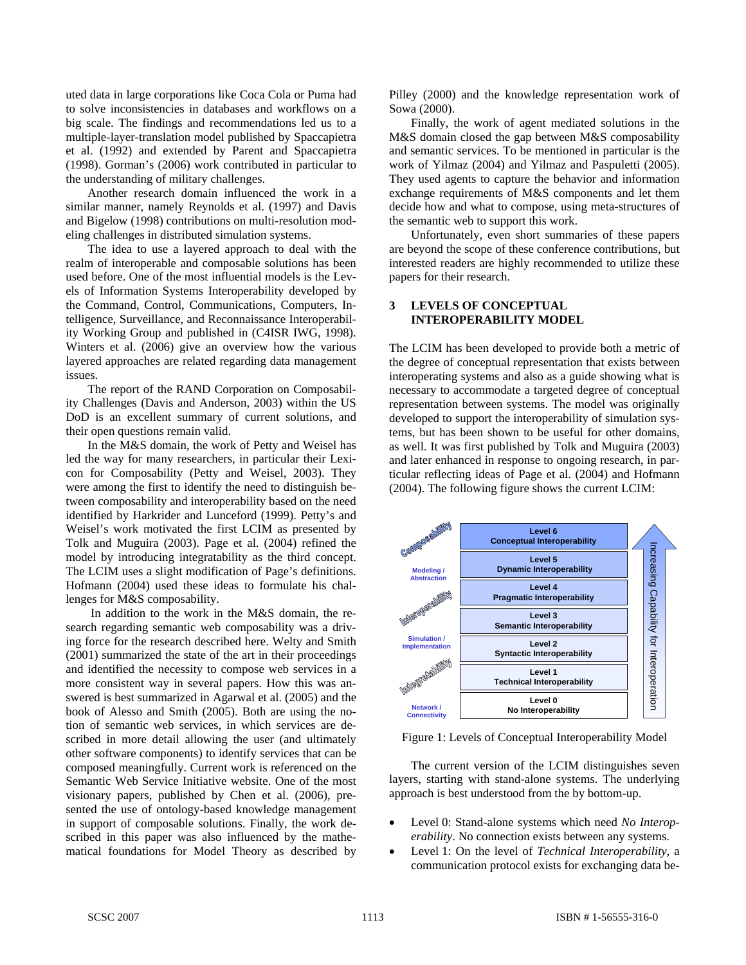uted data in large corporations like Coca Cola or Puma had to solve inconsistencies in databases and workflows on a big scale. The findings and recommendations led us to a multiple-layer-translation model published by Spaccapietra et al. (1992) and extended by Parent and Spaccapietra (1998). Gorman's (2006) work contributed in particular to the understanding of military challenges.

Another research domain influenced the work in a similar manner, namely Reynolds et al. (1997) and Davis and Bigelow (1998) contributions on multi-resolution modeling challenges in distributed simulation systems.

The idea to use a layered approach to deal with the realm of interoperable and composable solutions has been used before. One of the most influential models is the Levels of Information Systems Interoperability developed by the Command, Control, Communications, Computers, Intelligence, Surveillance, and Reconnaissance Interoperability Working Group and published in (C4ISR IWG, 1998). Winters et al. (2006) give an overview how the various layered approaches are related regarding data management issues.

The report of the RAND Corporation on Composability Challenges (Davis and Anderson, 2003) within the US DoD is an excellent summary of current solutions, and their open questions remain valid.

In the M&S domain, the work of Petty and Weisel has led the way for many researchers, in particular their Lexicon for Composability (Petty and Weisel, 2003). They were among the first to identify the need to distinguish between composability and interoperability based on the need identified by Harkrider and Lunceford (1999). Petty's and Weisel's work motivated the first LCIM as presented by Tolk and Muguira (2003). Page et al. (2004) refined the model by introducing integratability as the third concept. The LCIM uses a slight modification of Page's definitions. Hofmann (2004) used these ideas to formulate his challenges for M&S composability.

 In addition to the work in the M&S domain, the research regarding semantic web composability was a driving force for the research described here. Welty and Smith (2001) summarized the state of the art in their proceedings and identified the necessity to compose web services in a more consistent way in several papers. How this was answered is best summarized in Agarwal et al. (2005) and the book of Alesso and Smith (2005). Both are using the notion of semantic web services, in which services are described in more detail allowing the user (and ultimately other software components) to identify services that can be composed meaningfully. Current work is referenced on the Semantic Web Service Initiative website. One of the most visionary papers, published by Chen et al. (2006), presented the use of ontology-based knowledge management in support of composable solutions. Finally, the work described in this paper was also influenced by the mathematical foundations for Model Theory as described by

Pilley (2000) and the knowledge representation work of Sowa (2000).

Finally, the work of agent mediated solutions in the M&S domain closed the gap between M&S composability and semantic services. To be mentioned in particular is the work of Yilmaz (2004) and Yilmaz and Paspuletti (2005). They used agents to capture the behavior and information exchange requirements of M&S components and let them decide how and what to compose, using meta-structures of the semantic web to support this work.

Unfortunately, even short summaries of these papers are beyond the scope of these conference contributions, but interested readers are highly recommended to utilize these papers for their research.

#### **3 LEVELS OF CONCEPTUAL INTEROPERABILITY MODEL**

The LCIM has been developed to provide both a metric of the degree of conceptual representation that exists between interoperating systems and also as a guide showing what is necessary to accommodate a targeted degree of conceptual representation between systems. The model was originally developed to support the interoperability of simulation systems, but has been shown to be useful for other domains, as well. It was first published by Tolk and Muguira (2003) and later enhanced in response to ongoing research, in particular reflecting ideas of Page et al. (2004) and Hofmann (2004). The following figure shows the current LCIM:



Figure 1: Levels of Conceptual Interoperability Model

The current version of the LCIM distinguishes seven layers, starting with stand-alone systems. The underlying approach is best understood from the by bottom-up.

- Level 0: Stand-alone systems which need *No Interoperability*. No connection exists between any systems.
- Level 1: On the level of *Technical Interoperability*, a communication protocol exists for exchanging data be-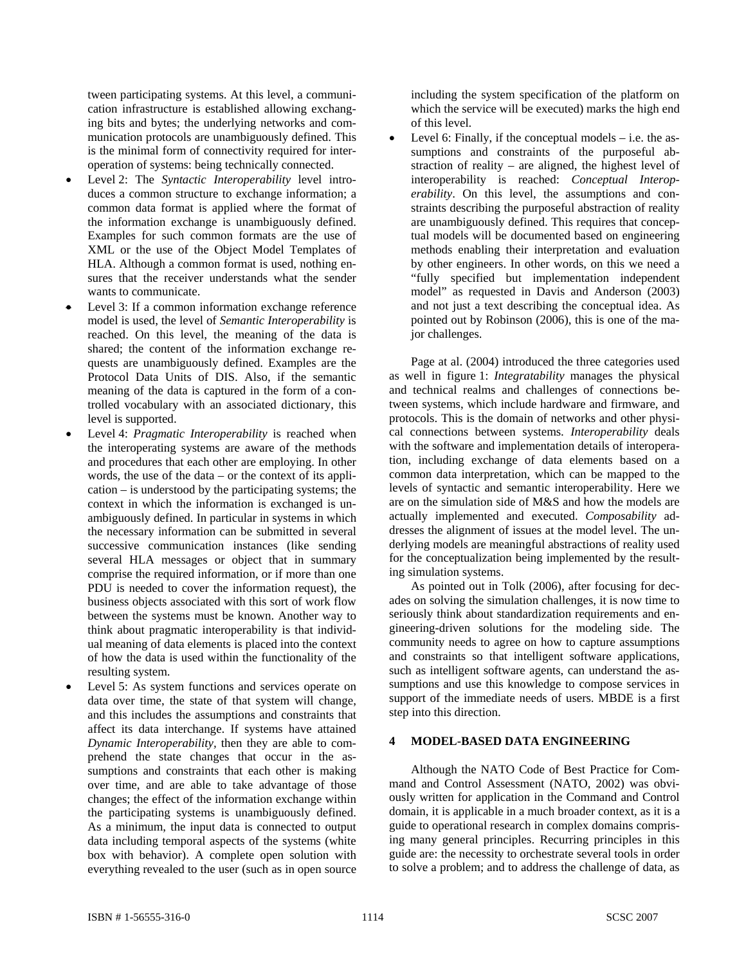tween participating systems. At this level, a communication infrastructure is established allowing exchanging bits and bytes; the underlying networks and communication protocols are unambiguously defined. This is the minimal form of connectivity required for interoperation of systems: being technically connected.

- Level 2: The *Syntactic Interoperability* level introduces a common structure to exchange information; a common data format is applied where the format of the information exchange is unambiguously defined. Examples for such common formats are the use of XML or the use of the Object Model Templates of HLA. Although a common format is used, nothing ensures that the receiver understands what the sender wants to communicate.
- Level 3: If a common information exchange reference model is used, the level of *Semantic Interoperability* is reached. On this level, the meaning of the data is shared; the content of the information exchange requests are unambiguously defined. Examples are the Protocol Data Units of DIS. Also, if the semantic meaning of the data is captured in the form of a controlled vocabulary with an associated dictionary, this level is supported.
- Level 4: *Pragmatic Interoperability* is reached when the interoperating systems are aware of the methods and procedures that each other are employing. In other words, the use of the data – or the context of its application – is understood by the participating systems; the context in which the information is exchanged is unambiguously defined. In particular in systems in which the necessary information can be submitted in several successive communication instances (like sending several HLA messages or object that in summary comprise the required information, or if more than one PDU is needed to cover the information request), the business objects associated with this sort of work flow between the systems must be known. Another way to think about pragmatic interoperability is that individual meaning of data elements is placed into the context of how the data is used within the functionality of the resulting system.
- Level 5: As system functions and services operate on data over time, the state of that system will change, and this includes the assumptions and constraints that affect its data interchange. If systems have attained *Dynamic Interoperability,* then they are able to comprehend the state changes that occur in the assumptions and constraints that each other is making over time, and are able to take advantage of those changes; the effect of the information exchange within the participating systems is unambiguously defined. As a minimum, the input data is connected to output data including temporal aspects of the systems (white box with behavior). A complete open solution with everything revealed to the user (such as in open source

including the system specification of the platform on which the service will be executed) marks the high end of this level.

Level 6: Finally, if the conceptual models  $-$  i.e. the assumptions and constraints of the purposeful abstraction of reality – are aligned, the highest level of interoperability is reached: *Conceptual Interoperability*. On this level, the assumptions and constraints describing the purposeful abstraction of reality are unambiguously defined. This requires that conceptual models will be documented based on engineering methods enabling their interpretation and evaluation by other engineers. In other words, on this we need a "fully specified but implementation independent model" as requested in Davis and Anderson (2003) and not just a text describing the conceptual idea. As pointed out by Robinson (2006), this is one of the major challenges.

Page at al. (2004) introduced the three categories used as well in figure 1: *Integratability* manages the physical and technical realms and challenges of connections between systems, which include hardware and firmware, and protocols. This is the domain of networks and other physical connections between systems. *Interoperability* deals with the software and implementation details of interoperation, including exchange of data elements based on a common data interpretation, which can be mapped to the levels of syntactic and semantic interoperability. Here we are on the simulation side of M&S and how the models are actually implemented and executed. *Composability* addresses the alignment of issues at the model level. The underlying models are meaningful abstractions of reality used for the conceptualization being implemented by the resulting simulation systems.

As pointed out in Tolk (2006), after focusing for decades on solving the simulation challenges, it is now time to seriously think about standardization requirements and engineering-driven solutions for the modeling side. The community needs to agree on how to capture assumptions and constraints so that intelligent software applications, such as intelligent software agents, can understand the assumptions and use this knowledge to compose services in support of the immediate needs of users. MBDE is a first step into this direction.

# **4 MODEL-BASED DATA ENGINEERING**

Although the NATO Code of Best Practice for Command and Control Assessment (NATO, 2002) was obviously written for application in the Command and Control domain, it is applicable in a much broader context, as it is a guide to operational research in complex domains comprising many general principles. Recurring principles in this guide are: the necessity to orchestrate several tools in order to solve a problem; and to address the challenge of data, as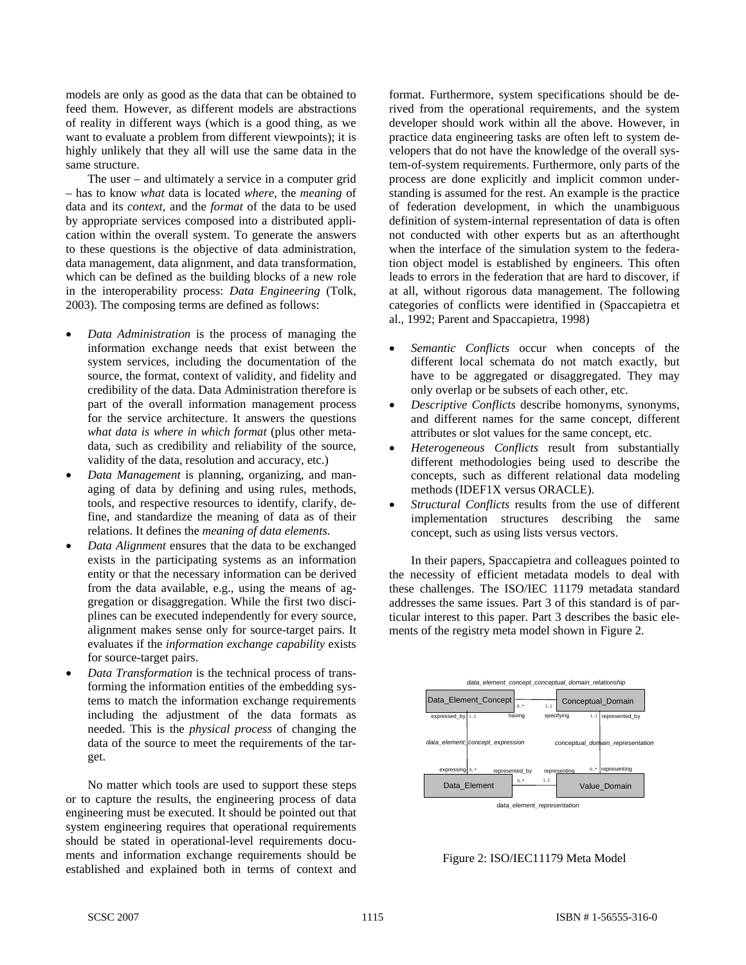models are only as good as the data that can be obtained to feed them. However, as different models are abstractions of reality in different ways (which is a good thing, as we want to evaluate a problem from different viewpoints); it is highly unlikely that they all will use the same data in the same structure.

The user – and ultimately a service in a computer grid – has to know *what* data is located *where*, the *meaning* of data and its *context*, and the *format* of the data to be used by appropriate services composed into a distributed application within the overall system. To generate the answers to these questions is the objective of data administration, data management, data alignment, and data transformation, which can be defined as the building blocks of a new role in the interoperability process: *Data Engineering* (Tolk, 2003). The composing terms are defined as follows:

- *Data Administration* is the process of managing the information exchange needs that exist between the system services, including the documentation of the source, the format, context of validity, and fidelity and credibility of the data. Data Administration therefore is part of the overall information management process for the service architecture. It answers the questions *what data is where in which format* (plus other metadata, such as credibility and reliability of the source, validity of the data, resolution and accuracy, etc.)
- *Data Management* is planning, organizing, and managing of data by defining and using rules, methods, tools, and respective resources to identify, clarify, define, and standardize the meaning of data as of their relations. It defines the *meaning of data elements*.
- *Data Alignment* ensures that the data to be exchanged exists in the participating systems as an information entity or that the necessary information can be derived from the data available, e.g., using the means of aggregation or disaggregation. While the first two disciplines can be executed independently for every source, alignment makes sense only for source-target pairs. It evaluates if the *information exchange capability* exists for source-target pairs.
- *Data Transformation* is the technical process of transforming the information entities of the embedding systems to match the information exchange requirements including the adjustment of the data formats as needed. This is the *physical process* of changing the data of the source to meet the requirements of the target.

No matter which tools are used to support these steps or to capture the results, the engineering process of data engineering must be executed. It should be pointed out that system engineering requires that operational requirements should be stated in operational-level requirements documents and information exchange requirements should be established and explained both in terms of context and format. Furthermore, system specifications should be derived from the operational requirements, and the system developer should work within all the above. However, in practice data engineering tasks are often left to system developers that do not have the knowledge of the overall system-of-system requirements. Furthermore, only parts of the process are done explicitly and implicit common understanding is assumed for the rest. An example is the practice of federation development, in which the unambiguous definition of system-internal representation of data is often not conducted with other experts but as an afterthought when the interface of the simulation system to the federation object model is established by engineers. This often leads to errors in the federation that are hard to discover, if at all, without rigorous data management. The following categories of conflicts were identified in (Spaccapietra et al., 1992; Parent and Spaccapietra, 1998)

- *Semantic Conflicts* occur when concepts of the different local schemata do not match exactly, but have to be aggregated or disaggregated. They may only overlap or be subsets of each other, etc.
- *Descriptive Conflicts* describe homonyms, synonyms, and different names for the same concept, different attributes or slot values for the same concept, etc.
- *Heterogeneous Conflicts* result from substantially different methodologies being used to describe the concepts, such as different relational data modeling methods (IDEF1X versus ORACLE).
- *Structural Conflicts* results from the use of different implementation structures describing the same concept, such as using lists versus vectors.

In their papers, Spaccapietra and colleagues pointed to the necessity of efficient metadata models to deal with these challenges. The ISO/IEC 11179 metadata standard addresses the same issues. Part 3 of this standard is of particular interest to this paper. Part 3 describes the basic elements of the registry meta model shown in Figure 2.



Figure 2: ISO/IEC11179 Meta Model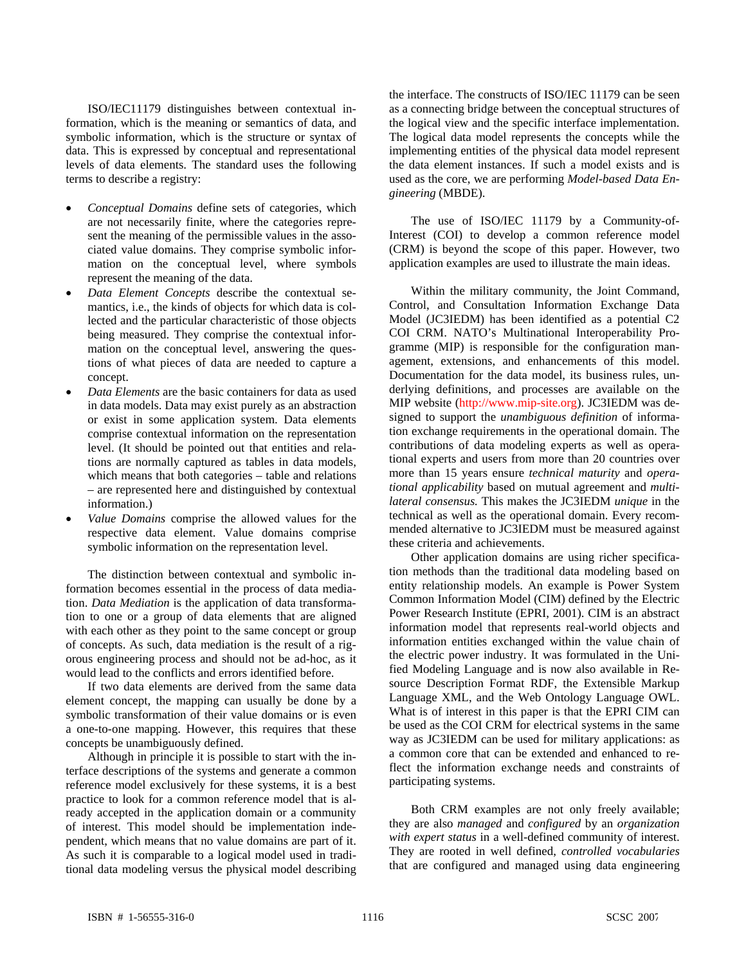ISO/IEC11179 distinguishes between contextual information, which is the meaning or semantics of data, and symbolic information, which is the structure or syntax of data. This is expressed by conceptual and representational levels of data elements. The standard uses the following terms to describe a registry:

- *Conceptual Domains* define sets of categories, which are not necessarily finite, where the categories represent the meaning of the permissible values in the associated value domains. They comprise symbolic information on the conceptual level, where symbols represent the meaning of the data.
- *Data Element Concepts* describe the contextual semantics, i.e., the kinds of objects for which data is collected and the particular characteristic of those objects being measured. They comprise the contextual information on the conceptual level, answering the questions of what pieces of data are needed to capture a concept.
- *Data Elements* are the basic containers for data as used in data models. Data may exist purely as an abstraction or exist in some application system. Data elements comprise contextual information on the representation level. (It should be pointed out that entities and relations are normally captured as tables in data models, which means that both categories – table and relations – are represented here and distinguished by contextual information.)
- *Value Domains* comprise the allowed values for the respective data element. Value domains comprise symbolic information on the representation level.

The distinction between contextual and symbolic information becomes essential in the process of data mediation. *Data Mediation* is the application of data transformation to one or a group of data elements that are aligned with each other as they point to the same concept or group of concepts. As such, data mediation is the result of a rigorous engineering process and should not be ad-hoc, as it would lead to the conflicts and errors identified before.

If two data elements are derived from the same data element concept, the mapping can usually be done by a symbolic transformation of their value domains or is even a one-to-one mapping. However, this requires that these concepts be unambiguously defined.

Although in principle it is possible to start with the interface descriptions of the systems and generate a common reference model exclusively for these systems, it is a best practice to look for a common reference model that is already accepted in the application domain or a community of interest. This model should be implementation independent, which means that no value domains are part of it. As such it is comparable to a logical model used in traditional data modeling versus the physical model describing the interface. The constructs of ISO/IEC 11179 can be seen as a connecting bridge between the conceptual structures of the logical view and the specific interface implementation. The logical data model represents the concepts while the implementing entities of the physical data model represent the data element instances. If such a model exists and is used as the core, we are performing *Model-based Data Engineering* (MBDE).

The use of ISO/IEC 11179 by a Community-of-Interest (COI) to develop a common reference model (CRM) is beyond the scope of this paper. However, two application examples are used to illustrate the main ideas.

Within the military community, the Joint Command, Control, and Consultation Information Exchange Data Model (JC3IEDM) has been identified as a potential C2 COI CRM. NATO's Multinational Interoperability Programme (MIP) is responsible for the configuration management, extensions, and enhancements of this model. Documentation for the data model, its business rules, underlying definitions, and processes are available on the MIP website (http://www.mip-site.org). JC3IEDM was designed to support the *unambiguous definition* of information exchange requirements in the operational domain. The contributions of data modeling experts as well as operational experts and users from more than 20 countries over more than 15 years ensure *technical maturity* and *operational applicability* based on mutual agreement and *multilateral consensus.* This makes the JC3IEDM *unique* in the technical as well as the operational domain. Every recommended alternative to JC3IEDM must be measured against these criteria and achievements.

Other application domains are using richer specification methods than the traditional data modeling based on entity relationship models. An example is Power System Common Information Model (CIM) defined by the Electric Power Research Institute (EPRI, 2001). CIM is an abstract information model that represents real-world objects and information entities exchanged within the value chain of the electric power industry. It was formulated in the Unified Modeling Language and is now also available in Resource Description Format RDF, the Extensible Markup Language XML, and the Web Ontology Language OWL. What is of interest in this paper is that the EPRI CIM can be used as the COI CRM for electrical systems in the same way as JC3IEDM can be used for military applications: as a common core that can be extended and enhanced to reflect the information exchange needs and constraints of participating systems.

Both CRM examples are not only freely available; they are also *managed* and *configured* by an *organization with expert status* in a well-defined community of interest. They are rooted in well defined, *controlled vocabularies* that are configured and managed using data engineering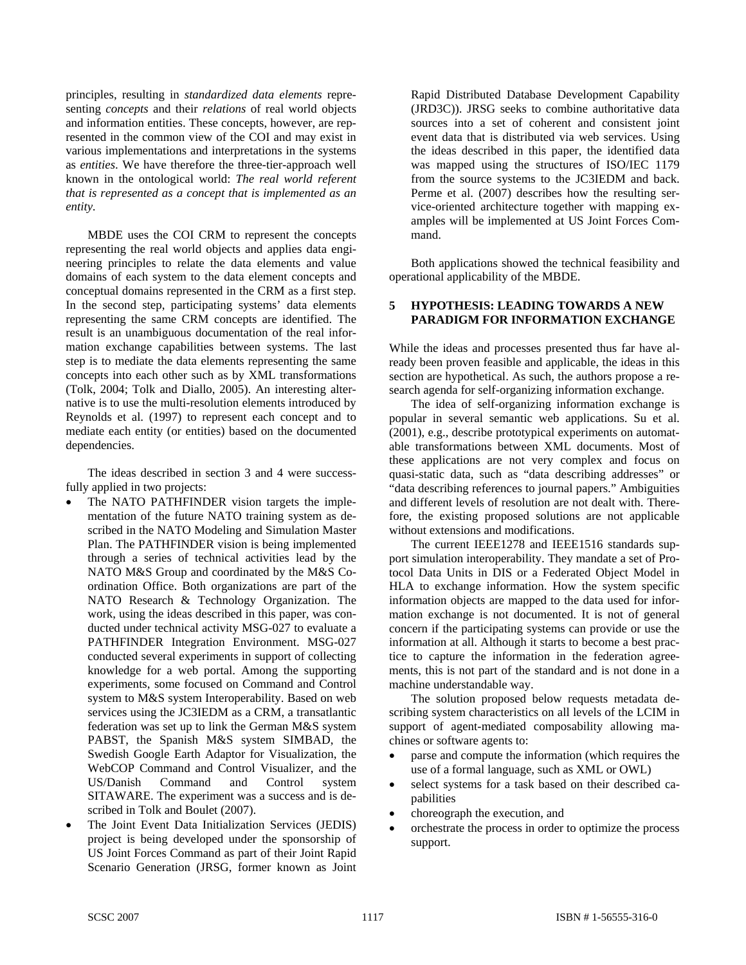principles, resulting in *standardized data elements* representing *concepts* and their *relations* of real world objects and information entities. These concepts, however, are represented in the common view of the COI and may exist in various implementations and interpretations in the systems as *entities*. We have therefore the three-tier-approach well known in the ontological world: *The real world referent that is represented as a concept that is implemented as an entity.*

MBDE uses the COI CRM to represent the concepts representing the real world objects and applies data engineering principles to relate the data elements and value domains of each system to the data element concepts and conceptual domains represented in the CRM as a first step. In the second step, participating systems' data elements representing the same CRM concepts are identified. The result is an unambiguous documentation of the real information exchange capabilities between systems. The last step is to mediate the data elements representing the same concepts into each other such as by XML transformations (Tolk, 2004; Tolk and Diallo, 2005). An interesting alternative is to use the multi-resolution elements introduced by Reynolds et al. (1997) to represent each concept and to mediate each entity (or entities) based on the documented dependencies.

The ideas described in section 3 and 4 were successfully applied in two projects:

- The NATO PATHFINDER vision targets the implementation of the future NATO training system as described in the NATO Modeling and Simulation Master Plan. The PATHFINDER vision is being implemented through a series of technical activities lead by the NATO M&S Group and coordinated by the M&S Coordination Office. Both organizations are part of the NATO Research & Technology Organization. The work, using the ideas described in this paper, was conducted under technical activity MSG-027 to evaluate a PATHFINDER Integration Environment. MSG-027 conducted several experiments in support of collecting knowledge for a web portal. Among the supporting experiments, some focused on Command and Control system to M&S system Interoperability. Based on web services using the JC3IEDM as a CRM, a transatlantic federation was set up to link the German M&S system PABST, the Spanish M&S system SIMBAD, the Swedish Google Earth Adaptor for Visualization, the WebCOP Command and Control Visualizer, and the US/Danish Command and Control system SITAWARE. The experiment was a success and is described in Tolk and Boulet (2007).
- The Joint Event Data Initialization Services (JEDIS) project is being developed under the sponsorship of US Joint Forces Command as part of their Joint Rapid Scenario Generation (JRSG, former known as Joint

Rapid Distributed Database Development Capability (JRD3C)). JRSG seeks to combine authoritative data sources into a set of coherent and consistent joint event data that is distributed via web services. Using the ideas described in this paper, the identified data was mapped using the structures of ISO/IEC 1179 from the source systems to the JC3IEDM and back. Perme et al. (2007) describes how the resulting service-oriented architecture together with mapping examples will be implemented at US Joint Forces Command.

Both applications showed the technical feasibility and operational applicability of the MBDE.

#### **5 HYPOTHESIS: LEADING TOWARDS A NEW PARADIGM FOR INFORMATION EXCHANGE**

While the ideas and processes presented thus far have already been proven feasible and applicable, the ideas in this section are hypothetical. As such, the authors propose a research agenda for self-organizing information exchange.

The idea of self-organizing information exchange is popular in several semantic web applications. Su et al. (2001), e.g., describe prototypical experiments on automatable transformations between XML documents. Most of these applications are not very complex and focus on quasi-static data, such as "data describing addresses" or "data describing references to journal papers." Ambiguities and different levels of resolution are not dealt with. Therefore, the existing proposed solutions are not applicable without extensions and modifications.

The current IEEE1278 and IEEE1516 standards support simulation interoperability. They mandate a set of Protocol Data Units in DIS or a Federated Object Model in HLA to exchange information. How the system specific information objects are mapped to the data used for information exchange is not documented. It is not of general concern if the participating systems can provide or use the information at all. Although it starts to become a best practice to capture the information in the federation agreements, this is not part of the standard and is not done in a machine understandable way.

The solution proposed below requests metadata describing system characteristics on all levels of the LCIM in support of agent-mediated composability allowing machines or software agents to:

- parse and compute the information (which requires the use of a formal language, such as XML or OWL)
- select systems for a task based on their described capabilities
- choreograph the execution, and
- orchestrate the process in order to optimize the process support.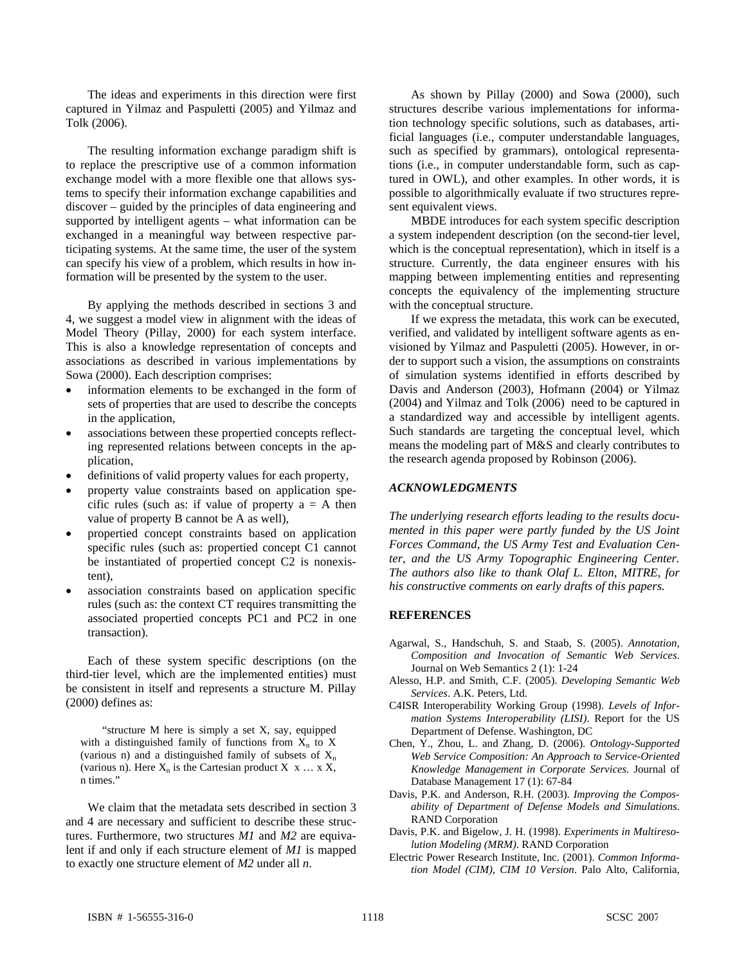The ideas and experiments in this direction were first captured in Yilmaz and Paspuletti (2005) and Yilmaz and Tolk (2006).

The resulting information exchange paradigm shift is to replace the prescriptive use of a common information exchange model with a more flexible one that allows systems to specify their information exchange capabilities and discover – guided by the principles of data engineering and supported by intelligent agents – what information can be exchanged in a meaningful way between respective participating systems. At the same time, the user of the system can specify his view of a problem, which results in how information will be presented by the system to the user.

By applying the methods described in sections 3 and 4, we suggest a model view in alignment with the ideas of Model Theory (Pillay, 2000) for each system interface. This is also a knowledge representation of concepts and associations as described in various implementations by Sowa (2000). Each description comprises:

- information elements to be exchanged in the form of sets of properties that are used to describe the concepts in the application,
- associations between these propertied concepts reflecting represented relations between concepts in the application,
- definitions of valid property values for each property,
- property value constraints based on application specific rules (such as: if value of property  $a = A$  then value of property B cannot be A as well),
- propertied concept constraints based on application specific rules (such as: propertied concept C1 cannot be instantiated of propertied concept C2 is nonexistent),
- association constraints based on application specific rules (such as: the context CT requires transmitting the associated propertied concepts PC1 and PC2 in one transaction).

Each of these system specific descriptions (on the third-tier level, which are the implemented entities) must be consistent in itself and represents a structure M. Pillay (2000) defines as:

"structure M here is simply a set X, say, equipped with a distinguished family of functions from  $X_n$  to X (various n) and a distinguished family of subsets of  $X_n$ (various n). Here  $X_n$  is the Cartesian product  $X \times \ldots \times X$ , n times."

We claim that the metadata sets described in section 3 and 4 are necessary and sufficient to describe these structures. Furthermore, two structures *M1* and *M2* are equivalent if and only if each structure element of *M1* is mapped to exactly one structure element of *M2* under all *n*.

As shown by Pillay (2000) and Sowa (2000), such structures describe various implementations for information technology specific solutions, such as databases, artificial languages (i.e., computer understandable languages, such as specified by grammars), ontological representations (i.e., in computer understandable form, such as captured in OWL), and other examples. In other words, it is possible to algorithmically evaluate if two structures represent equivalent views.

MBDE introduces for each system specific description a system independent description (on the second-tier level, which is the conceptual representation), which in itself is a structure. Currently, the data engineer ensures with his mapping between implementing entities and representing concepts the equivalency of the implementing structure with the conceptual structure.

If we express the metadata, this work can be executed, verified, and validated by intelligent software agents as envisioned by Yilmaz and Paspuletti (2005). However, in order to support such a vision, the assumptions on constraints of simulation systems identified in efforts described by Davis and Anderson (2003), Hofmann (2004) or Yilmaz (2004) and Yilmaz and Tolk (2006) need to be captured in a standardized way and accessible by intelligent agents. Such standards are targeting the conceptual level, which means the modeling part of M&S and clearly contributes to the research agenda proposed by Robinson (2006).

### *ACKNOWLEDGMENTS*

*The underlying research efforts leading to the results documented in this paper were partly funded by the US Joint Forces Command, the US Army Test and Evaluation Center, and the US Army Topographic Engineering Center. The authors also like to thank Olaf L. Elton, MITRE, for his constructive comments on early drafts of this papers.* 

#### **REFERENCES**

- Agarwal, S., Handschuh, S. and Staab, S. (2005). *Annotation, Composition and Invocation of Semantic Web Services*. Journal on Web Semantics 2 (1): 1-24
- Alesso, H.P. and Smith, C.F. (2005). *Developing Semantic Web Services*. A.K. Peters, Ltd.
- C4ISR Interoperability Working Group (1998). *Levels of Information Systems Interoperability (LISI)*. Report for the US Department of Defense. Washington, DC
- Chen, Y., Zhou, L. and Zhang, D. (2006). *Ontology-Supported Web Service Composition: An Approach to Service-Oriented Knowledge Management in Corporate Services*. Journal of Database Management 17 (1): 67-84
- Davis, P.K. and Anderson, R.H. (2003). *Improving the Composability of Department of Defense Models and Simulations*. RAND Corporation
- Davis, P.K. and Bigelow, J. H. (1998). *Experiments in Multiresolution Modeling (MRM)*. RAND Corporation
- Electric Power Research Institute, Inc. (2001). *Common Information Model (CIM), CIM 10 Version*. Palo Alto, California,